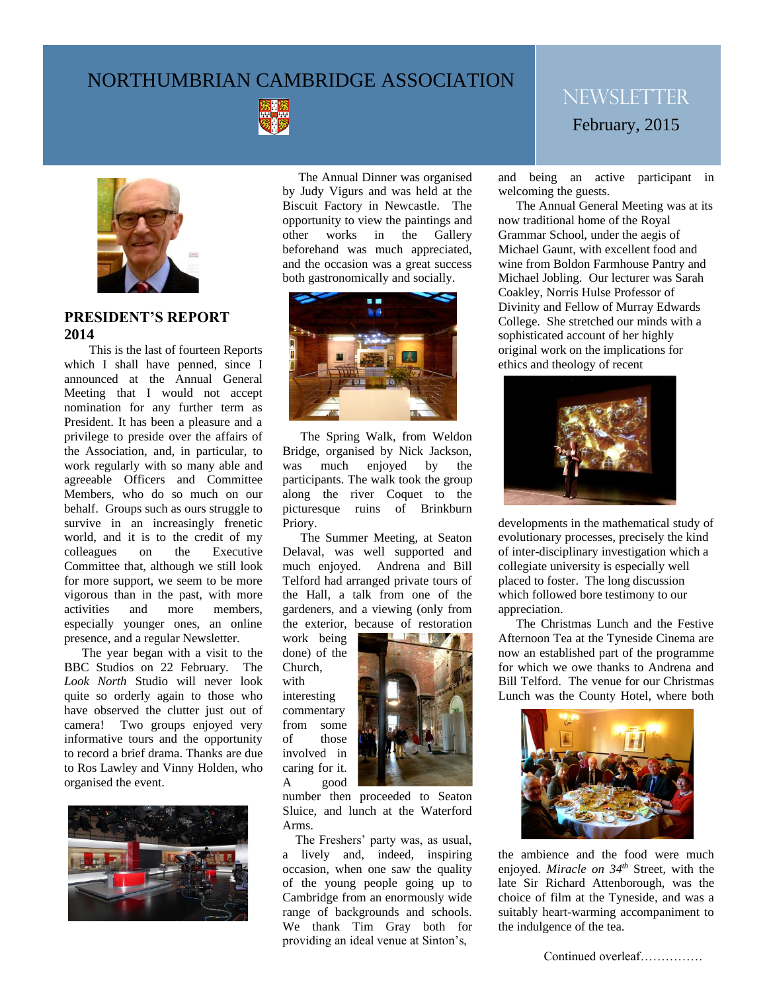# NORTHUMBRIAN CAMBRIDGE ASSOCIATION





# **PRESIDENT'S REPORT 2014**

 This is the last of fourteen Reports which I shall have penned, since I announced at the Annual General Meeting that I would not accept nomination for any further term as President. It has been a pleasure and a privilege to preside over the affairs of the Association, and, in particular, to work regularly with so many able and agreeable Officers and Committee Members, who do so much on our behalf. Groups such as ours struggle to survive in an increasingly frenetic world, and it is to the credit of my colleagues on the Executive Committee that, although we still look for more support, we seem to be more vigorous than in the past, with more activities and more members, especially younger ones, an online presence, and a regular Newsletter.

The year began with a visit to the BBC Studios on 22 February. The *Look North* Studio will never look quite so orderly again to those who have observed the clutter just out of camera! Two groups enjoyed very informative tours and the opportunity to record a brief drama. Thanks are due to Ros Lawley and Vinny Holden, who organised the event.



both gastronomically and socially. The Annual Dinner was organised by Judy Vigurs and was held at the Biscuit Factory in Newcastle. The opportunity to view the paintings and other works in the Gallery beforehand was much appreciated, and the occasion was a great success



to Bridge, organised by Nick Jackson,<br>
he was much enjoyed by the The Spring Walk, from Weldon was much enjoyed by the participants. The walk took the group along the river Coquet to the picturesque ruins of Brinkburn Priory.

> The Summer Meeting, at Seaton Delaval, was well supported and much enjoyed. Andrena and Bill Telford had arranged private tours of the Hall, a talk from one of the gardeners, and a viewing (only from the exterior, because of restoration

work being done) of the Church, with interesting commentary from some of those involved in caring for it. A good



number then proceeded to Seaton Sluice, and lunch at the Waterford Arms.

 The Freshers' party was, as usual, a lively and, indeed, inspiring occasion, when one saw the quality of the young people going up to Cambridge from an enormously wide range of backgrounds and schools. We thank Tim Gray both for providing an ideal venue at Sinton's,

# **NEWSLETTER** February, 2015

and being an active participant in welcoming the guests.

The Annual General Meeting was at its now traditional home of the Royal Grammar School, under the aegis of Michael Gaunt, with excellent food and wine from Boldon Farmhouse Pantry and Michael Jobling. Our lecturer was Sarah Coakley, Norris Hulse Professor of Divinity and Fellow of Murray Edwards College. She stretched our minds with a sophisticated account of her highly original work on the implications for ethics and theology of recent



developments in the mathematical study of evolutionary processes, precisely the kind of inter-disciplinary investigation which a collegiate university is especially well placed to foster. The long discussion which followed bore testimony to our appreciation.

The Christmas Lunch and the Festive Afternoon Tea at the Tyneside Cinema are now an established part of the programme for which we owe thanks to Andrena and Bill Telford. The venue for our Christmas Lunch was the County Hotel, where both



the ambience and the food were much enjoyed. *Miracle on 34th* Street, with the late Sir Richard Attenborough, was the choice of film at the Tyneside, and was a suitably heart-warming accompaniment to the indulgence of the tea.

Continued overleaf……………